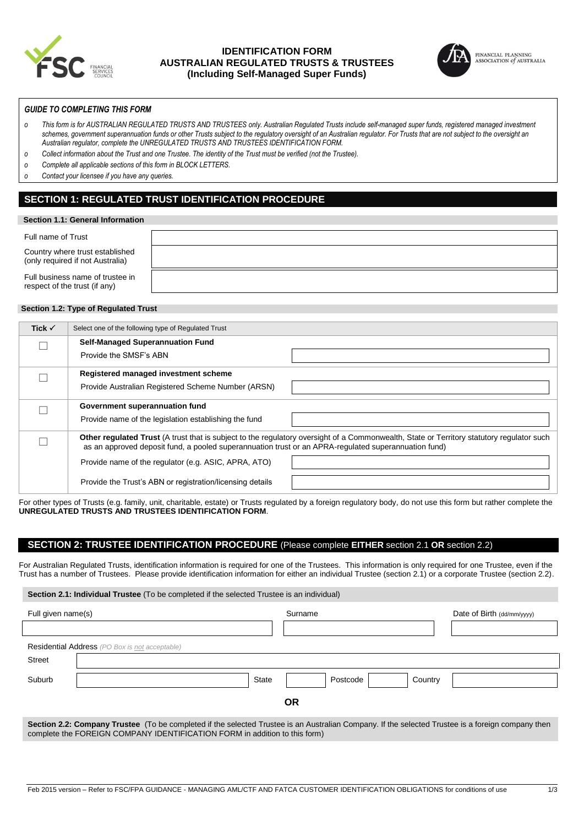

## **IDENTIFICATION FORM AUSTRALIAN REGULATED TRUSTS & TRUSTEES (Including Self-Managed Super Funds)**



FINANCIAL PLANNING<br>ASSOCIATION of AUSTRALIA

## *GUIDE TO COMPLETING THIS FORM*

- *o This form is for AUSTRALIAN REGULATED TRUSTS AND TRUSTEES only. Australian Regulated Trusts include self-managed super funds, registered managed investment schemes, government superannuation funds or other Trusts subject to the regulatory oversight of an Australian regulator. For Trusts that are not subject to the oversight an Australian regulator, complete the UNREGULATED TRUSTS AND TRUSTEES IDENTIFICATION FORM.*
- *o Collect information about the Trust and one Trustee. The identity of the Trust must be verified (not the Trustee).*
- *o Complete all applicable sections of this form in BLOCK LETTERS.*
- *o Contact your licensee if you have any queries.*

# **SECTION 1: REGULATED TRUST IDENTIFICATION PROCEDURE**

#### **Section 1.1: General Information**

| Full name of Trust                                                  |  |
|---------------------------------------------------------------------|--|
| Country where trust established<br>(only required if not Australia) |  |
| Full business name of trustee in<br>respect of the trust (if any)   |  |

## **Section 1.2: Type of Regulated Trust**

| Tick $\checkmark$ | Select one of the following type of Regulated Trust                                                                                                                                                                                               |  |
|-------------------|---------------------------------------------------------------------------------------------------------------------------------------------------------------------------------------------------------------------------------------------------|--|
|                   | <b>Self-Managed Superannuation Fund</b>                                                                                                                                                                                                           |  |
|                   | Provide the SMSF's ABN                                                                                                                                                                                                                            |  |
|                   | Registered managed investment scheme                                                                                                                                                                                                              |  |
|                   | Provide Australian Registered Scheme Number (ARSN)                                                                                                                                                                                                |  |
|                   | Government superannuation fund                                                                                                                                                                                                                    |  |
|                   | Provide name of the legislation establishing the fund                                                                                                                                                                                             |  |
|                   | Other regulated Trust (A trust that is subject to the regulatory oversight of a Commonwealth, State or Territory statutory regulator such<br>as an approved deposit fund, a pooled superannuation trust or an APRA-regulated superannuation fund) |  |
|                   | Provide name of the regulator (e.g. ASIC, APRA, ATO)                                                                                                                                                                                              |  |
|                   | Provide the Trust's ABN or registration/licensing details                                                                                                                                                                                         |  |

For other types of Trusts (e.g. family, unit, charitable, estate) or Trusts regulated by a foreign regulatory body, do not use this form but rather complete the **UNREGULATED TRUSTS AND TRUSTEES IDENTIFICATION FORM**.

## **SECTION 2: TRUSTEE IDENTIFICATION PROCEDURE** (Please complete **EITHER** section 2.1 **OR** section 2.2)

For Australian Regulated Trusts, identification information is required for one of the Trustees. This information is only required for one Trustee, even if the Trust has a number of Trustees. Please provide identification information for either an individual Trustee (section 2.1) or a corporate Trustee (section 2.2).

**Section 2.1: Individual Trustee** (To be completed if the selected Trustee is an individual)

complete the FOREIGN COMPANY IDENTIFICATION FORM in addition to this form)

| Full given name(s)                                                                                                                                | Surname                                               |  |          | Date of Birth (dd/mm/yyyy) |  |  |
|---------------------------------------------------------------------------------------------------------------------------------------------------|-------------------------------------------------------|--|----------|----------------------------|--|--|
|                                                                                                                                                   |                                                       |  |          |                            |  |  |
|                                                                                                                                                   | <b>Residential Address</b> (PO Box is not acceptable) |  |          |                            |  |  |
| Street                                                                                                                                            |                                                       |  |          |                            |  |  |
| Suburb                                                                                                                                            | State                                                 |  | Postcode | Country                    |  |  |
| 0R                                                                                                                                                |                                                       |  |          |                            |  |  |
| Section 2.2: Company Trustee (To be completed if the selected Trustee is an Australian Company. If the selected Trustee is a foreign company then |                                                       |  |          |                            |  |  |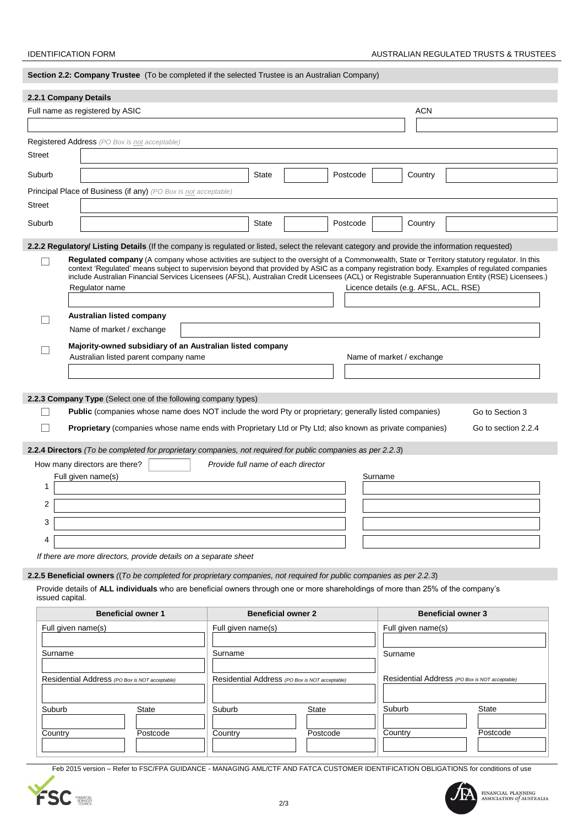| Section 2.2: Company Trustee (To be completed if the selected Trustee is an Australian Company) |                                                                                                                                                                                                                                                                                                   |                                                |          |          |                                                |                           |  |
|-------------------------------------------------------------------------------------------------|---------------------------------------------------------------------------------------------------------------------------------------------------------------------------------------------------------------------------------------------------------------------------------------------------|------------------------------------------------|----------|----------|------------------------------------------------|---------------------------|--|
| 2.2.1 Company Details                                                                           |                                                                                                                                                                                                                                                                                                   |                                                |          |          |                                                |                           |  |
|                                                                                                 | Full name as registered by ASIC<br><b>ACN</b>                                                                                                                                                                                                                                                     |                                                |          |          |                                                |                           |  |
|                                                                                                 |                                                                                                                                                                                                                                                                                                   |                                                |          |          |                                                |                           |  |
|                                                                                                 | <b>Registered Address</b> (PO Box is not acceptable)                                                                                                                                                                                                                                              |                                                |          |          |                                                |                           |  |
| <b>Street</b>                                                                                   |                                                                                                                                                                                                                                                                                                   |                                                |          |          |                                                |                           |  |
| Suburb                                                                                          |                                                                                                                                                                                                                                                                                                   | State                                          |          | Postcode | Country                                        |                           |  |
|                                                                                                 | Principal Place of Business (if any) (PO Box is not acceptable)                                                                                                                                                                                                                                   |                                                |          |          |                                                |                           |  |
| <b>Street</b>                                                                                   |                                                                                                                                                                                                                                                                                                   |                                                |          |          |                                                |                           |  |
| Suburb                                                                                          |                                                                                                                                                                                                                                                                                                   | <b>State</b>                                   |          | Postcode | Country                                        |                           |  |
|                                                                                                 | 2.2.2 Regulatory/ Listing Details (If the company is regulated or listed, select the relevant category and provide the information requested)                                                                                                                                                     |                                                |          |          |                                                |                           |  |
|                                                                                                 | Regulated company (A company whose activities are subject to the oversight of a Commonwealth, State or Territory statutory regulator. In this                                                                                                                                                     |                                                |          |          |                                                |                           |  |
|                                                                                                 | context 'Regulated' means subject to supervision beyond that provided by ASIC as a company registration body. Examples of regulated companies<br>include Australian Financial Services Licensees (AFSL), Australian Credit Licensees (ACL) or Registrable Superannuation Entity (RSE) Licensees.) |                                                |          |          |                                                |                           |  |
|                                                                                                 | Regulator name                                                                                                                                                                                                                                                                                    |                                                |          |          | Licence details (e.g. AFSL, ACL, RSE)          |                           |  |
|                                                                                                 |                                                                                                                                                                                                                                                                                                   |                                                |          |          |                                                |                           |  |
|                                                                                                 | Australian listed company<br>Name of market / exchange                                                                                                                                                                                                                                            |                                                |          |          |                                                |                           |  |
|                                                                                                 | Majority-owned subsidiary of an Australian listed company                                                                                                                                                                                                                                         |                                                |          |          |                                                |                           |  |
|                                                                                                 | Australian listed parent company name                                                                                                                                                                                                                                                             |                                                |          |          | Name of market / exchange                      |                           |  |
|                                                                                                 |                                                                                                                                                                                                                                                                                                   |                                                |          |          |                                                |                           |  |
|                                                                                                 |                                                                                                                                                                                                                                                                                                   |                                                |          |          |                                                |                           |  |
|                                                                                                 | 2.2.3 Company Type (Select one of the following company types)<br><b>Public</b> (companies whose name does NOT include the word Pty or proprietary; generally listed companies)                                                                                                                   |                                                |          |          |                                                | Go to Section 3           |  |
|                                                                                                 | Proprietary (companies whose name ends with Proprietary Ltd or Pty Ltd; also known as private companies)                                                                                                                                                                                          |                                                |          |          |                                                | Go to section 2.2.4       |  |
|                                                                                                 |                                                                                                                                                                                                                                                                                                   |                                                |          |          |                                                |                           |  |
|                                                                                                 | 2.2.4 Directors (To be completed for proprietary companies, not required for public companies as per 2.2.3)                                                                                                                                                                                       |                                                |          |          |                                                |                           |  |
|                                                                                                 | How many directors are there?<br>Full given name(s)                                                                                                                                                                                                                                               | Provide full name of each director             |          |          | Surname                                        |                           |  |
| 1                                                                                               |                                                                                                                                                                                                                                                                                                   |                                                |          |          |                                                |                           |  |
| 2                                                                                               |                                                                                                                                                                                                                                                                                                   |                                                |          |          |                                                |                           |  |
| 3                                                                                               |                                                                                                                                                                                                                                                                                                   |                                                |          |          |                                                |                           |  |
| 4                                                                                               |                                                                                                                                                                                                                                                                                                   |                                                |          |          |                                                |                           |  |
|                                                                                                 | If there are more directors, provide details on a separate sheet                                                                                                                                                                                                                                  |                                                |          |          |                                                |                           |  |
|                                                                                                 | 2.2.5 Beneficial owners ((To be completed for proprietary companies, not required for public companies as per 2.2.3)                                                                                                                                                                              |                                                |          |          |                                                |                           |  |
|                                                                                                 | Provide details of ALL individuals who are beneficial owners through one or more shareholdings of more than 25% of the company's                                                                                                                                                                  |                                                |          |          |                                                |                           |  |
| issued capital.                                                                                 |                                                                                                                                                                                                                                                                                                   |                                                |          |          |                                                |                           |  |
|                                                                                                 | <b>Beneficial owner 1</b>                                                                                                                                                                                                                                                                         | <b>Beneficial owner 2</b>                      |          |          |                                                | <b>Beneficial owner 3</b> |  |
| Full given name(s)                                                                              |                                                                                                                                                                                                                                                                                                   | Full given name(s)                             |          |          | Full given name(s)                             |                           |  |
| Surname                                                                                         |                                                                                                                                                                                                                                                                                                   | Surname                                        |          |          | Surname                                        |                           |  |
|                                                                                                 |                                                                                                                                                                                                                                                                                                   |                                                |          |          |                                                |                           |  |
| Residential Address (PO Box is NOT acceptable)                                                  |                                                                                                                                                                                                                                                                                                   | Residential Address (PO Box is NOT acceptable) |          |          | Residential Address (PO Box is NOT acceptable) |                           |  |
|                                                                                                 |                                                                                                                                                                                                                                                                                                   |                                                |          |          |                                                |                           |  |
| Suburb                                                                                          | State                                                                                                                                                                                                                                                                                             | Suburb                                         | State    |          | Suburb                                         | State                     |  |
| Country                                                                                         | Postcode                                                                                                                                                                                                                                                                                          | Country                                        | Postcode |          | Country                                        | Postcode                  |  |
|                                                                                                 |                                                                                                                                                                                                                                                                                                   |                                                |          |          |                                                |                           |  |
|                                                                                                 | Feb 2015 version - Refer to FSC/FPA GUIDANCE - MANAGING AML/CTF AND FATCA CUSTOMER IDENTIFICATION OBLIGATIONS for conditions of use                                                                                                                                                               |                                                |          |          |                                                |                           |  |